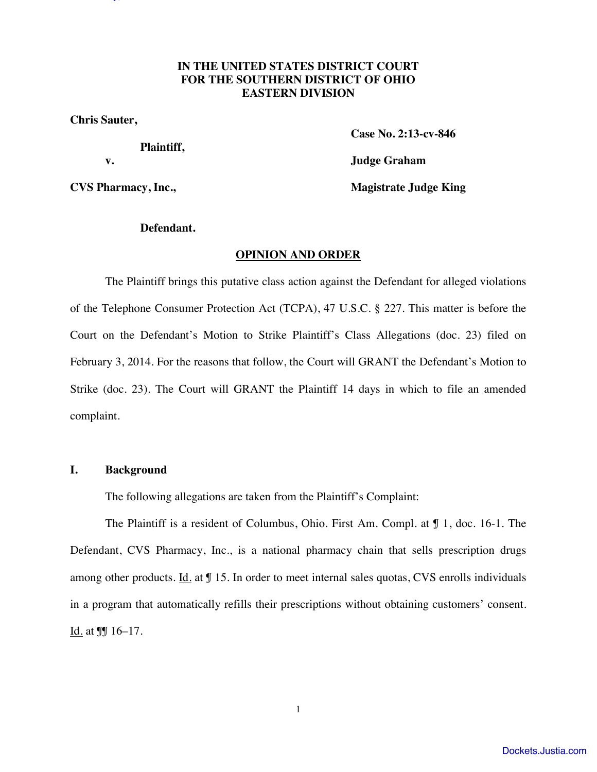# **IN THE UNITED STATES DISTRICT COURT FOR THE SOUTHERN DISTRICT OF OHIO EASTERN DIVISION**

Sauter v. Communication and December v. Communication and December 2014. Inc. Doc. 29, 29, 29, 29, 29, 29, 29,

**Chris Sauter,** 

 **Plaintiff,** 

 **Case No. 2:13-cv-846** 

 **v. Judge Graham** 

**CVS Pharmacy, Inc., The COVS Pharmacy, Inc., The COVS Pharmacy, Inc., The COVS Pharmacy, Inc., The COVS Pharmacy And The COVS Pharmacy And The COVS Pharmacy And The COVS Pharmacy And The COVS Pharmacy And The COVS Pharmac** 

## **Defendant.**

## **OPINION AND ORDER**

The Plaintiff brings this putative class action against the Defendant for alleged violations of the Telephone Consumer Protection Act (TCPA), 47 U.S.C. § 227. This matter is before the Court on the Defendant's Motion to Strike Plaintiff's Class Allegations (doc. 23) filed on February 3, 2014. For the reasons that follow, the Court will GRANT the Defendant's Motion to Strike (doc. 23). The Court will GRANT the Plaintiff 14 days in which to file an amended complaint.

## **I. Background**

The following allegations are taken from the Plaintiff's Complaint:

The Plaintiff is a resident of Columbus, Ohio. First Am. Compl. at ¶ 1, doc. 16-1. The Defendant, CVS Pharmacy, Inc., is a national pharmacy chain that sells prescription drugs among other products. Id. at  $\sqrt{9}$  15. In order to meet internal sales quotas, CVS enrolls individuals in a program that automatically refills their prescriptions without obtaining customers' consent. Id. at  $\sqrt{9}$  16–17.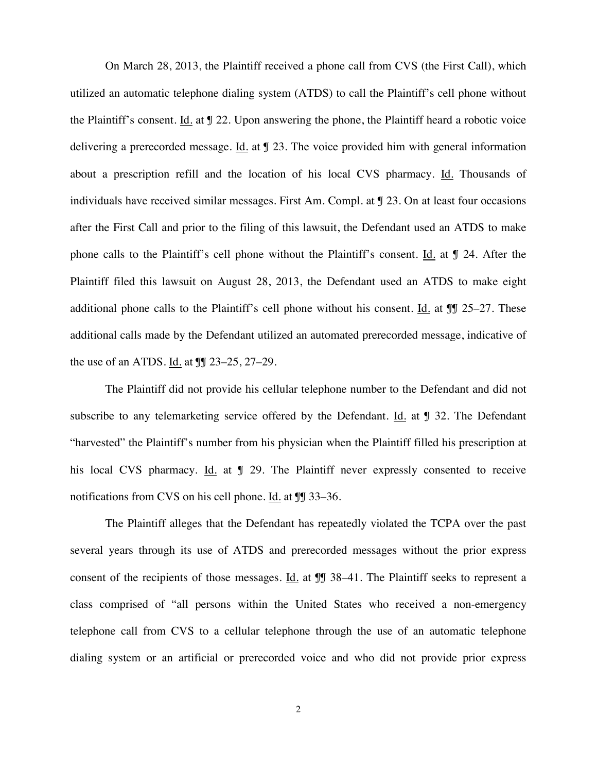On March 28, 2013, the Plaintiff received a phone call from CVS (the First Call), which utilized an automatic telephone dialing system (ATDS) to call the Plaintiff's cell phone without the Plaintiff's consent. Id. at ¶ 22. Upon answering the phone, the Plaintiff heard a robotic voice delivering a prerecorded message. Id. at ¶ 23. The voice provided him with general information about a prescription refill and the location of his local CVS pharmacy. Id. Thousands of individuals have received similar messages. First Am. Compl. at ¶ 23. On at least four occasions after the First Call and prior to the filing of this lawsuit, the Defendant used an ATDS to make phone calls to the Plaintiff's cell phone without the Plaintiff's consent. Id. at ¶ 24. After the Plaintiff filed this lawsuit on August 28, 2013, the Defendant used an ATDS to make eight additional phone calls to the Plaintiff's cell phone without his consent. Id. at ¶¶ 25–27. These additional calls made by the Defendant utilized an automated prerecorded message, indicative of the use of an ATDS. Id. at ¶¶ 23–25, 27–29.

The Plaintiff did not provide his cellular telephone number to the Defendant and did not subscribe to any telemarketing service offered by the Defendant. Id. at  $\mathcal J$  32. The Defendant "harvested" the Plaintiff's number from his physician when the Plaintiff filled his prescription at his local CVS pharmacy. Id. at  $\sqrt{9}$  29. The Plaintiff never expressly consented to receive notifications from CVS on his cell phone. Id. at  $\mathbb{II}$  33–36.

The Plaintiff alleges that the Defendant has repeatedly violated the TCPA over the past several years through its use of ATDS and prerecorded messages without the prior express consent of the recipients of those messages. Id. at **J** 38–41. The Plaintiff seeks to represent a class comprised of "all persons within the United States who received a non-emergency telephone call from CVS to a cellular telephone through the use of an automatic telephone dialing system or an artificial or prerecorded voice and who did not provide prior express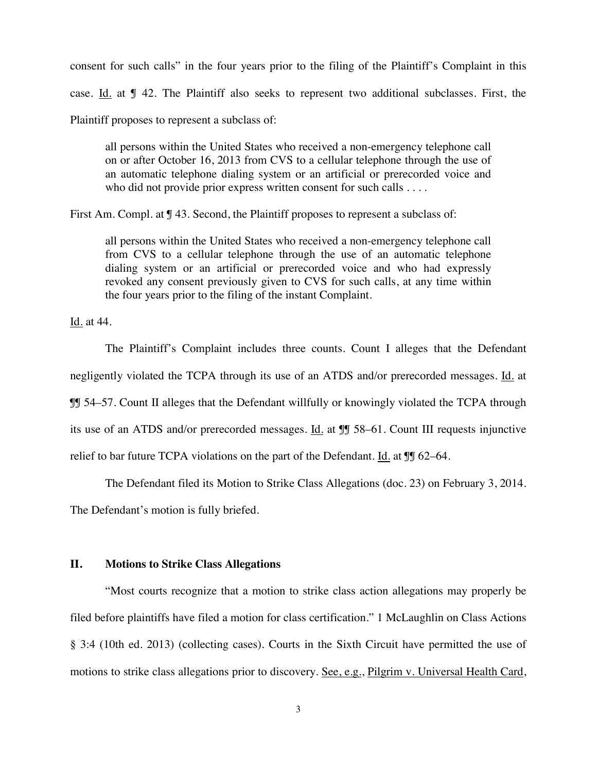consent for such calls" in the four years prior to the filing of the Plaintiff's Complaint in this case. Id. at ¶ 42. The Plaintiff also seeks to represent two additional subclasses. First, the Plaintiff proposes to represent a subclass of:

all persons within the United States who received a non-emergency telephone call on or after October 16, 2013 from CVS to a cellular telephone through the use of an automatic telephone dialing system or an artificial or prerecorded voice and who did not provide prior express written consent for such calls . . . .

First Am. Compl. at  $\P$  43. Second, the Plaintiff proposes to represent a subclass of:

all persons within the United States who received a non-emergency telephone call from CVS to a cellular telephone through the use of an automatic telephone dialing system or an artificial or prerecorded voice and who had expressly revoked any consent previously given to CVS for such calls, at any time within the four years prior to the filing of the instant Complaint.

Id. at 44.

The Plaintiff's Complaint includes three counts. Count I alleges that the Defendant negligently violated the TCPA through its use of an ATDS and/or prerecorded messages. Id. at ¶¶ 54–57. Count II alleges that the Defendant willfully or knowingly violated the TCPA through its use of an ATDS and/or prerecorded messages. Id. at ¶¶ 58–61. Count III requests injunctive relief to bar future TCPA violations on the part of the Defendant. Id. at  $\P$  62–64.

The Defendant filed its Motion to Strike Class Allegations (doc. 23) on February 3, 2014.

The Defendant's motion is fully briefed.

## **II. Motions to Strike Class Allegations**

"Most courts recognize that a motion to strike class action allegations may properly be filed before plaintiffs have filed a motion for class certification." 1 McLaughlin on Class Actions § 3:4 (10th ed. 2013) (collecting cases). Courts in the Sixth Circuit have permitted the use of motions to strike class allegations prior to discovery. See, e.g., Pilgrim v. Universal Health Card,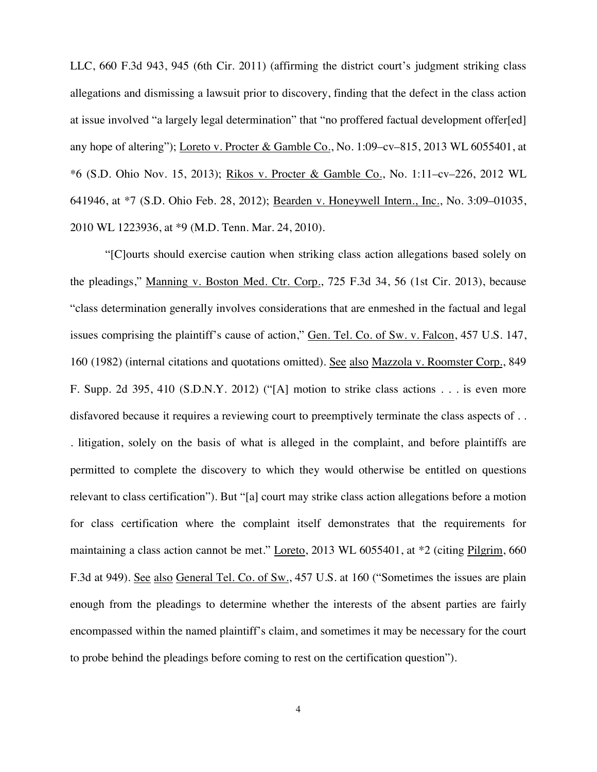LLC, 660 F.3d 943, 945 (6th Cir. 2011) (affirming the district court's judgment striking class allegations and dismissing a lawsuit prior to discovery, finding that the defect in the class action at issue involved "a largely legal determination" that "no proffered factual development offer[ed] any hope of altering"); Loreto v. Procter & Gamble Co., No. 1:09–cv–815, 2013 WL 6055401, at \*6 (S.D. Ohio Nov. 15, 2013); Rikos v. Procter & Gamble Co., No. 1:11–cv–226, 2012 WL 641946, at \*7 (S.D. Ohio Feb. 28, 2012); Bearden v. Honeywell Intern., Inc., No. 3:09–01035, 2010 WL 1223936, at \*9 (M.D. Tenn. Mar. 24, 2010).

"[C]ourts should exercise caution when striking class action allegations based solely on the pleadings," Manning v. Boston Med. Ctr. Corp., 725 F.3d 34, 56 (1st Cir. 2013), because "class determination generally involves considerations that are enmeshed in the factual and legal issues comprising the plaintiff's cause of action," Gen. Tel. Co. of Sw. v. Falcon, 457 U.S. 147, 160 (1982) (internal citations and quotations omitted). See also Mazzola v. Roomster Corp., 849 F. Supp. 2d 395, 410 (S.D.N.Y. 2012) ("[A] motion to strike class actions . . . is even more disfavored because it requires a reviewing court to preemptively terminate the class aspects of . . . litigation, solely on the basis of what is alleged in the complaint, and before plaintiffs are permitted to complete the discovery to which they would otherwise be entitled on questions relevant to class certification"). But "[a] court may strike class action allegations before a motion for class certification where the complaint itself demonstrates that the requirements for maintaining a class action cannot be met." Loreto, 2013 WL 6055401, at \*2 (citing Pilgrim, 660 F.3d at 949). See also General Tel. Co. of Sw., 457 U.S. at 160 ("Sometimes the issues are plain enough from the pleadings to determine whether the interests of the absent parties are fairly encompassed within the named plaintiff's claim, and sometimes it may be necessary for the court to probe behind the pleadings before coming to rest on the certification question").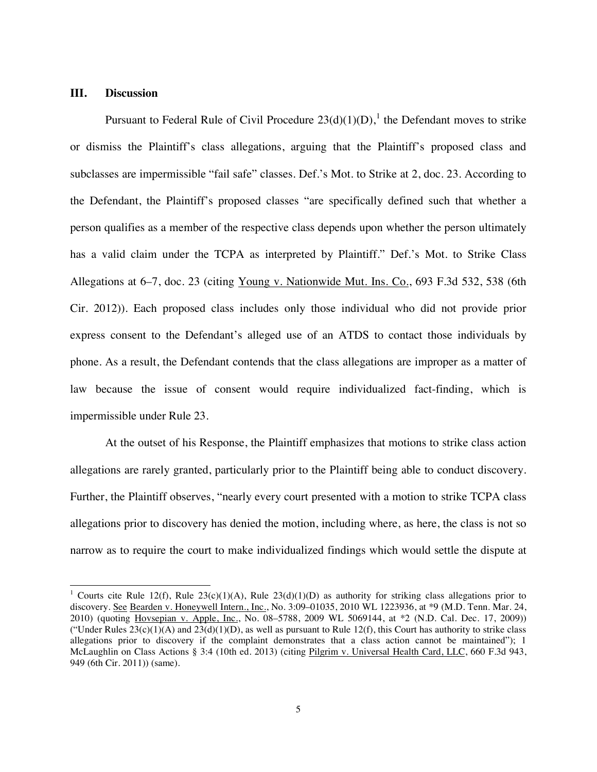#### **III. Discussion**

-

Pursuant to Federal Rule of Civil Procedure  $23(d)(1)(D)$ , the Defendant moves to strike or dismiss the Plaintiff's class allegations, arguing that the Plaintiff's proposed class and subclasses are impermissible "fail safe" classes. Def.'s Mot. to Strike at 2, doc. 23. According to the Defendant, the Plaintiff's proposed classes "are specifically defined such that whether a person qualifies as a member of the respective class depends upon whether the person ultimately has a valid claim under the TCPA as interpreted by Plaintiff." Def.'s Mot. to Strike Class Allegations at 6–7, doc. 23 (citing Young v. Nationwide Mut. Ins. Co., 693 F.3d 532, 538 (6th Cir. 2012)). Each proposed class includes only those individual who did not provide prior express consent to the Defendant's alleged use of an ATDS to contact those individuals by phone. As a result, the Defendant contends that the class allegations are improper as a matter of law because the issue of consent would require individualized fact-finding, which is impermissible under Rule 23.

At the outset of his Response, the Plaintiff emphasizes that motions to strike class action allegations are rarely granted, particularly prior to the Plaintiff being able to conduct discovery. Further, the Plaintiff observes, "nearly every court presented with a motion to strike TCPA class allegations prior to discovery has denied the motion, including where, as here, the class is not so narrow as to require the court to make individualized findings which would settle the dispute at

<sup>&</sup>lt;sup>1</sup> Courts cite Rule 12(f), Rule 23(c)(1)(A), Rule 23(d)(1)(D) as authority for striking class allegations prior to discovery. See Bearden v. Honeywell Intern., Inc., No. 3:09–01035, 2010 WL 1223936, at \*9 (M.D. Tenn. Mar. 24, 2010) (quoting Hovsepian v. Apple, Inc., No. 08–5788, 2009 WL 5069144, at \*2 (N.D. Cal. Dec. 17, 2009)) ("Under Rules  $23(c)(1)(A)$  and  $23(d)(1)(D)$ , as well as pursuant to Rule 12(f), this Court has authority to strike class allegations prior to discovery if the complaint demonstrates that a class action cannot be maintained"); 1 McLaughlin on Class Actions § 3:4 (10th ed. 2013) (citing Pilgrim v. Universal Health Card, LLC, 660 F.3d 943, 949 (6th Cir. 2011)) (same).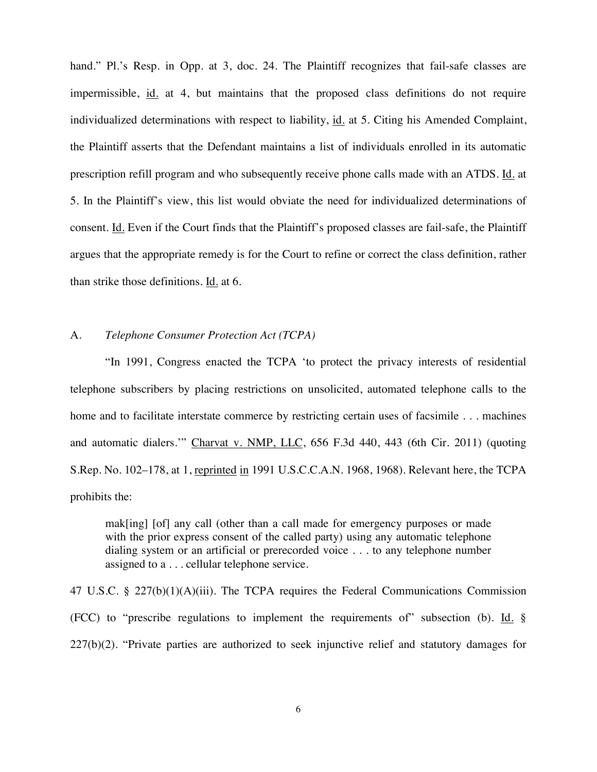hand." Pl.'s Resp. in Opp. at 3, doc. 24. The Plaintiff recognizes that fail-safe classes are impermissible, id. at 4, but maintains that the proposed class definitions do not require individualized determinations with respect to liability, id. at 5. Citing his Amended Complaint, the Plaintiff asserts that the Defendant maintains a list of individuals enrolled in its automatic prescription refill program and who subsequently receive phone calls made with an ATDS. Id. at 5. In the Plaintiff's view, this list would obviate the need for individualized determinations of consent. Id. Even if the Court finds that the Plaintiff's proposed classes are fail-safe, the Plaintiff argues that the appropriate remedy is for the Court to refine or correct the class definition, rather than strike those definitions. Id. at 6.

## A. *Telephone Consumer Protection Act (TCPA)*

"In 1991, Congress enacted the TCPA 'to protect the privacy interests of residential telephone subscribers by placing restrictions on unsolicited, automated telephone calls to the home and to facilitate interstate commerce by restricting certain uses of facsimile . . . machines and automatic dialers.'" Charvat v. NMP, LLC, 656 F.3d 440, 443 (6th Cir. 2011) (quoting S.Rep. No. 102–178, at 1, reprinted in 1991 U.S.C.C.A.N. 1968, 1968). Relevant here, the TCPA prohibits the:

mak[ing] [of] any call (other than a call made for emergency purposes or made with the prior express consent of the called party) using any automatic telephone dialing system or an artificial or prerecorded voice . . . to any telephone number assigned to a . . . cellular telephone service.

47 U.S.C. § 227(b)(1)(A)(iii). The TCPA requires the Federal Communications Commission (FCC) to "prescribe regulations to implement the requirements of" subsection (b). Id. § 227(b)(2). "Private parties are authorized to seek injunctive relief and statutory damages for

6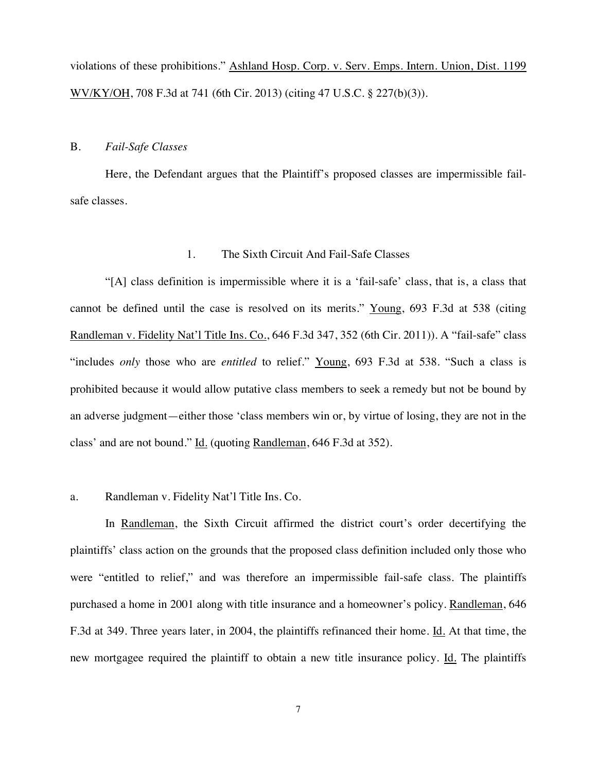violations of these prohibitions." Ashland Hosp. Corp. v. Serv. Emps. Intern. Union, Dist. 1199 WV/KY/OH, 708 F.3d at 741 (6th Cir. 2013) (citing 47 U.S.C. § 227(b)(3)).

#### B. *Fail-Safe Classes*

Here, the Defendant argues that the Plaintiff's proposed classes are impermissible failsafe classes.

## 1. The Sixth Circuit And Fail-Safe Classes

"[A] class definition is impermissible where it is a 'fail-safe' class, that is, a class that cannot be defined until the case is resolved on its merits." Young, 693 F.3d at 538 (citing Randleman v. Fidelity Nat'l Title Ins. Co., 646 F.3d 347, 352 (6th Cir. 2011)). A "fail-safe" class "includes *only* those who are *entitled* to relief." Young, 693 F.3d at 538. "Such a class is prohibited because it would allow putative class members to seek a remedy but not be bound by an adverse judgment—either those 'class members win or, by virtue of losing, they are not in the class' and are not bound." Id. (quoting Randleman, 646 F.3d at 352).

### a. Randleman v. Fidelity Nat'l Title Ins. Co.

In Randleman, the Sixth Circuit affirmed the district court's order decertifying the plaintiffs' class action on the grounds that the proposed class definition included only those who were "entitled to relief," and was therefore an impermissible fail-safe class. The plaintiffs purchased a home in 2001 along with title insurance and a homeowner's policy. Randleman, 646 F.3d at 349. Three years later, in 2004, the plaintiffs refinanced their home. Id. At that time, the new mortgagee required the plaintiff to obtain a new title insurance policy. Id. The plaintiffs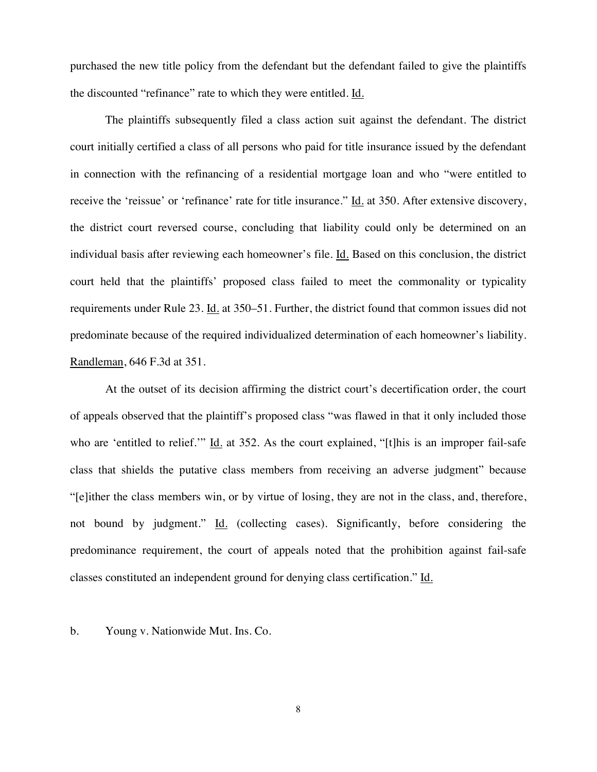purchased the new title policy from the defendant but the defendant failed to give the plaintiffs the discounted "refinance" rate to which they were entitled. Id.

The plaintiffs subsequently filed a class action suit against the defendant. The district court initially certified a class of all persons who paid for title insurance issued by the defendant in connection with the refinancing of a residential mortgage loan and who "were entitled to receive the 'reissue' or 'refinance' rate for title insurance." Id. at 350. After extensive discovery, the district court reversed course, concluding that liability could only be determined on an individual basis after reviewing each homeowner's file. Id. Based on this conclusion, the district court held that the plaintiffs' proposed class failed to meet the commonality or typicality requirements under Rule 23. Id. at 350–51. Further, the district found that common issues did not predominate because of the required individualized determination of each homeowner's liability. Randleman, 646 F.3d at 351.

 At the outset of its decision affirming the district court's decertification order, the court of appeals observed that the plaintiff's proposed class "was flawed in that it only included those who are 'entitled to relief.'" Id. at 352. As the court explained, "[t]his is an improper fail-safe class that shields the putative class members from receiving an adverse judgment" because "[e]ither the class members win, or by virtue of losing, they are not in the class, and, therefore, not bound by judgment." Id. (collecting cases). Significantly, before considering the predominance requirement, the court of appeals noted that the prohibition against fail-safe classes constituted an independent ground for denying class certification." Id.

b. Young v. Nationwide Mut. Ins. Co.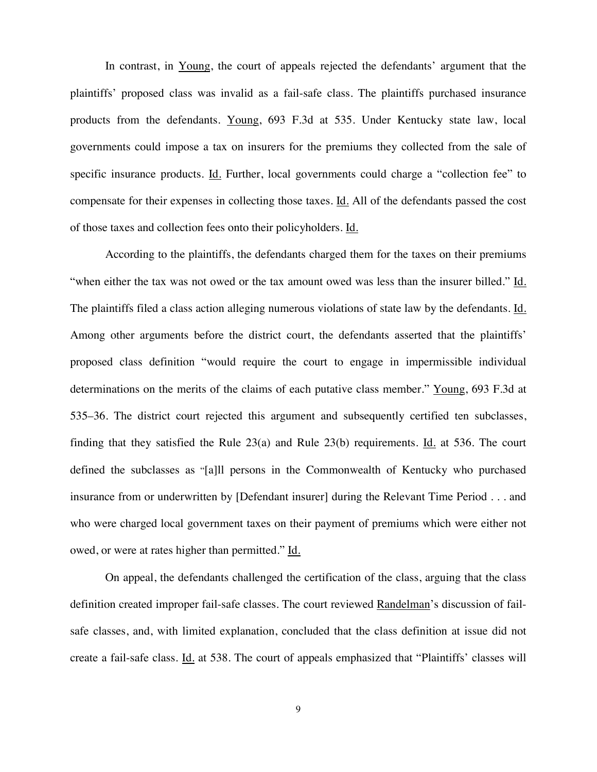In contrast, in Young, the court of appeals rejected the defendants' argument that the plaintiffs' proposed class was invalid as a fail-safe class. The plaintiffs purchased insurance products from the defendants. Young, 693 F.3d at 535. Under Kentucky state law, local governments could impose a tax on insurers for the premiums they collected from the sale of specific insurance products. Id. Further, local governments could charge a "collection fee" to compensate for their expenses in collecting those taxes. Id. All of the defendants passed the cost of those taxes and collection fees onto their policyholders. Id.

According to the plaintiffs, the defendants charged them for the taxes on their premiums "when either the tax was not owed or the tax amount owed was less than the insurer billed." Id. The plaintiffs filed a class action alleging numerous violations of state law by the defendants. Id. Among other arguments before the district court, the defendants asserted that the plaintiffs' proposed class definition "would require the court to engage in impermissible individual determinations on the merits of the claims of each putative class member." Young, 693 F.3d at 535–36. The district court rejected this argument and subsequently certified ten subclasses, finding that they satisfied the Rule  $23(a)$  and Rule  $23(b)$  requirements. Id. at 536. The court defined the subclasses as "[a]ll persons in the Commonwealth of Kentucky who purchased insurance from or underwritten by [Defendant insurer] during the Relevant Time Period . . . and who were charged local government taxes on their payment of premiums which were either not owed, or were at rates higher than permitted." Id.

On appeal, the defendants challenged the certification of the class, arguing that the class definition created improper fail-safe classes. The court reviewed Randelman's discussion of failsafe classes, and, with limited explanation, concluded that the class definition at issue did not create a fail-safe class. Id. at 538. The court of appeals emphasized that "Plaintiffs' classes will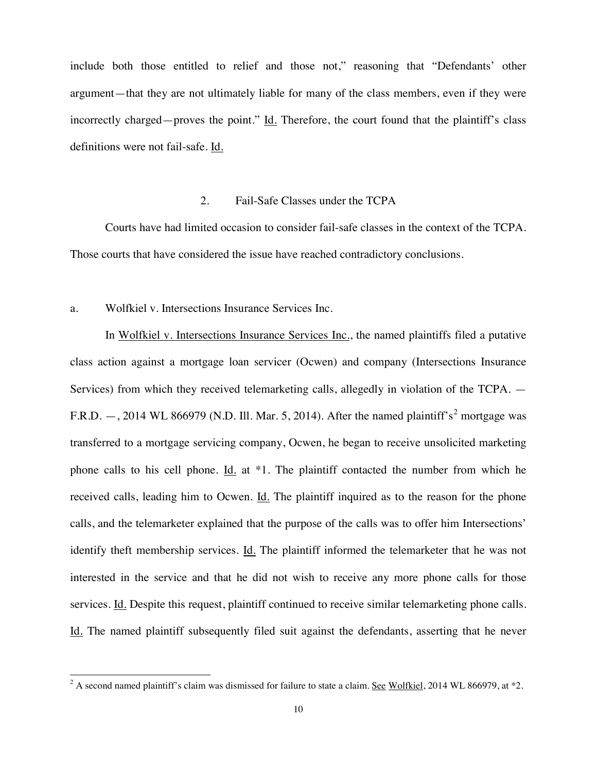include both those entitled to relief and those not," reasoning that "Defendants' other argument—that they are not ultimately liable for many of the class members, even if they were incorrectly charged—proves the point." Id. Therefore, the court found that the plaintiff's class definitions were not fail-safe. Id.

## 2. Fail-Safe Classes under the TCPA

Courts have had limited occasion to consider fail-safe classes in the context of the TCPA. Those courts that have considered the issue have reached contradictory conclusions.

#### a. Wolfkiel v. Intersections Insurance Services Inc.

 $\overline{a}$ 

In Wolfkiel v. Intersections Insurance Services Inc., the named plaintiffs filed a putative class action against a mortgage loan servicer (Ocwen) and company (Intersections Insurance Services) from which they received telemarketing calls, allegedly in violation of the TCPA. — F.R.D.  $-$ , 2014 WL 866979 (N.D. Ill. Mar. 5, 2014). After the named plaintiff's<sup>2</sup> mortgage was transferred to a mortgage servicing company, Ocwen, he began to receive unsolicited marketing phone calls to his cell phone. Id. at \*1. The plaintiff contacted the number from which he received calls, leading him to Ocwen. Id. The plaintiff inquired as to the reason for the phone calls, and the telemarketer explained that the purpose of the calls was to offer him Intersections' identify theft membership services. Id. The plaintiff informed the telemarketer that he was not interested in the service and that he did not wish to receive any more phone calls for those services. Id. Despite this request, plaintiff continued to receive similar telemarketing phone calls. Id. The named plaintiff subsequently filed suit against the defendants, asserting that he never

<sup>&</sup>lt;sup>2</sup> A second named plaintiff's claim was dismissed for failure to state a claim. <u>See Wolfkiel</u>, 2014 WL 866979, at \*2.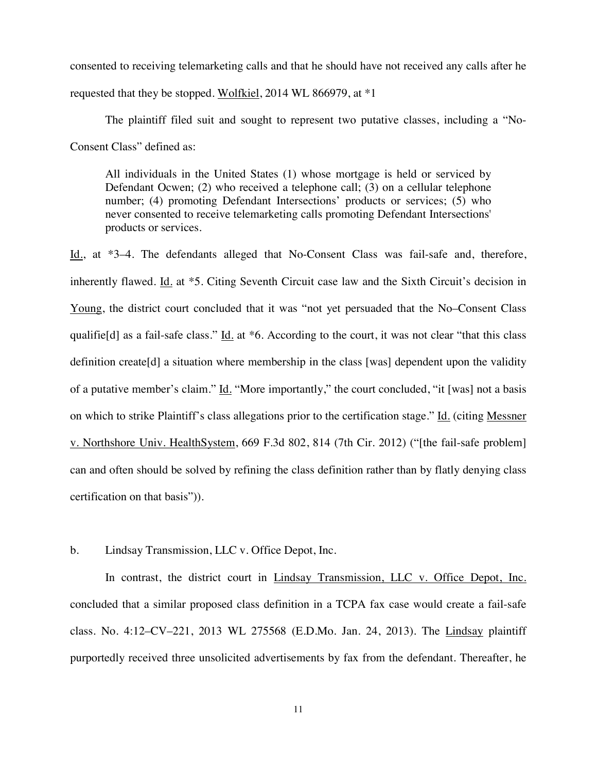consented to receiving telemarketing calls and that he should have not received any calls after he requested that they be stopped. Wolfkiel, 2014 WL 866979, at \*1

The plaintiff filed suit and sought to represent two putative classes, including a "No-Consent Class" defined as:

All individuals in the United States (1) whose mortgage is held or serviced by Defendant Ocwen; (2) who received a telephone call; (3) on a cellular telephone number; (4) promoting Defendant Intersections' products or services; (5) who never consented to receive telemarketing calls promoting Defendant Intersections' products or services.

Id., at \*3–4. The defendants alleged that No-Consent Class was fail-safe and, therefore, inherently flawed. Id. at \*5. Citing Seventh Circuit case law and the Sixth Circuit's decision in Young, the district court concluded that it was "not yet persuaded that the No–Consent Class qualifie[d] as a fail-safe class." Id. at \*6. According to the court, it was not clear "that this class" definition create[d] a situation where membership in the class [was] dependent upon the validity of a putative member's claim." Id. "More importantly," the court concluded, "it [was] not a basis on which to strike Plaintiff's class allegations prior to the certification stage." Id. (citing Messner v. Northshore Univ. HealthSystem, 669 F.3d 802, 814 (7th Cir. 2012) ("[the fail-safe problem] can and often should be solved by refining the class definition rather than by flatly denying class certification on that basis")).

b. Lindsay Transmission, LLC v. Office Depot, Inc.

In contrast, the district court in Lindsay Transmission, LLC v. Office Depot, Inc. concluded that a similar proposed class definition in a TCPA fax case would create a fail-safe class. No. 4:12–CV–221, 2013 WL 275568 (E.D.Mo. Jan. 24, 2013). The Lindsay plaintiff purportedly received three unsolicited advertisements by fax from the defendant. Thereafter, he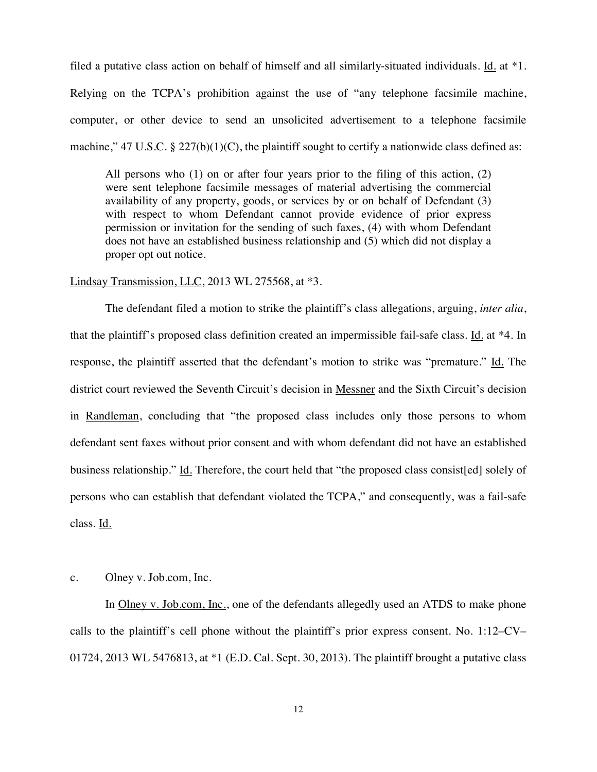filed a putative class action on behalf of himself and all similarly-situated individuals. Id. at \*1. Relying on the TCPA's prohibition against the use of "any telephone facsimile machine, computer, or other device to send an unsolicited advertisement to a telephone facsimile machine," 47 U.S.C.  $\S 227(b)(1)(C)$ , the plaintiff sought to certify a nationwide class defined as:

All persons who (1) on or after four years prior to the filing of this action, (2) were sent telephone facsimile messages of material advertising the commercial availability of any property, goods, or services by or on behalf of Defendant (3) with respect to whom Defendant cannot provide evidence of prior express permission or invitation for the sending of such faxes, (4) with whom Defendant does not have an established business relationship and (5) which did not display a proper opt out notice.

#### Lindsay Transmission, LLC, 2013 WL 275568, at \*3.

The defendant filed a motion to strike the plaintiff's class allegations, arguing, *inter alia*, that the plaintiff's proposed class definition created an impermissible fail-safe class. Id. at \*4. In response, the plaintiff asserted that the defendant's motion to strike was "premature." Id. The district court reviewed the Seventh Circuit's decision in Messner and the Sixth Circuit's decision in Randleman, concluding that "the proposed class includes only those persons to whom defendant sent faxes without prior consent and with whom defendant did not have an established business relationship." Id. Therefore, the court held that "the proposed class consist[ed] solely of persons who can establish that defendant violated the TCPA," and consequently, was a fail-safe class. Id.

#### c. Olney v. Job.com, Inc.

In Olney v. Job.com, Inc., one of the defendants allegedly used an ATDS to make phone calls to the plaintiff's cell phone without the plaintiff's prior express consent. No. 1:12–CV– 01724, 2013 WL 5476813, at \*1 (E.D. Cal. Sept. 30, 2013). The plaintiff brought a putative class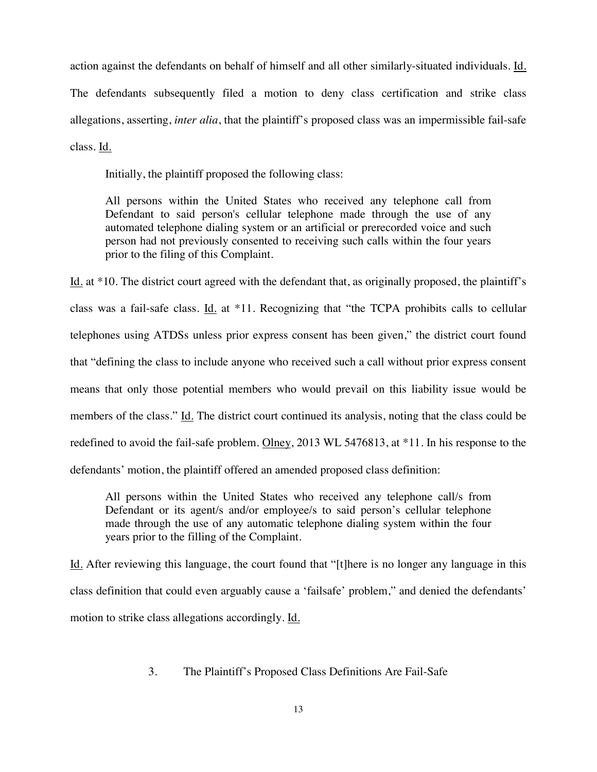action against the defendants on behalf of himself and all other similarly-situated individuals. Id. The defendants subsequently filed a motion to deny class certification and strike class allegations, asserting, *inter alia*, that the plaintiff's proposed class was an impermissible fail-safe class. Id.

Initially, the plaintiff proposed the following class:

All persons within the United States who received any telephone call from Defendant to said person's cellular telephone made through the use of any automated telephone dialing system or an artificial or prerecorded voice and such person had not previously consented to receiving such calls within the four years prior to the filing of this Complaint.

Id. at \*10. The district court agreed with the defendant that, as originally proposed, the plaintiff's class was a fail-safe class. Id. at \*11. Recognizing that "the TCPA prohibits calls to cellular telephones using ATDSs unless prior express consent has been given," the district court found that "defining the class to include anyone who received such a call without prior express consent means that only those potential members who would prevail on this liability issue would be members of the class." Id. The district court continued its analysis, noting that the class could be redefined to avoid the fail-safe problem. Olney, 2013 WL 5476813, at \*11. In his response to the defendants' motion, the plaintiff offered an amended proposed class definition:

All persons within the United States who received any telephone call/s from Defendant or its agent/s and/or employee/s to said person's cellular telephone made through the use of any automatic telephone dialing system within the four years prior to the filling of the Complaint.

Id. After reviewing this language, the court found that "[t]here is no longer any language in this class definition that could even arguably cause a 'failsafe' problem," and denied the defendants' motion to strike class allegations accordingly. Id.

## 3. The Plaintiff's Proposed Class Definitions Are Fail-Safe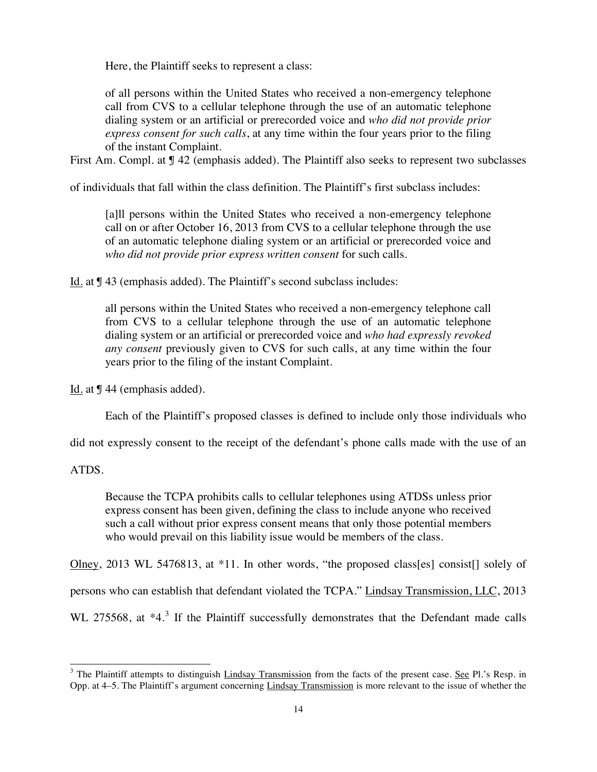Here, the Plaintiff seeks to represent a class:

of all persons within the United States who received a non-emergency telephone call from CVS to a cellular telephone through the use of an automatic telephone dialing system or an artificial or prerecorded voice and *who did not provide prior express consent for such calls*, at any time within the four years prior to the filing of the instant Complaint.

First Am. Compl. at ¶ 42 (emphasis added). The Plaintiff also seeks to represent two subclasses

of individuals that fall within the class definition. The Plaintiff's first subclass includes:

[a]ll persons within the United States who received a non-emergency telephone call on or after October 16, 2013 from CVS to a cellular telephone through the use of an automatic telephone dialing system or an artificial or prerecorded voice and *who did not provide prior express written consent* for such calls.

Id. at ¶ 43 (emphasis added). The Plaintiff's second subclass includes:

all persons within the United States who received a non-emergency telephone call from CVS to a cellular telephone through the use of an automatic telephone dialing system or an artificial or prerecorded voice and *who had expressly revoked any consent* previously given to CVS for such calls, at any time within the four years prior to the filing of the instant Complaint.

Id. at ¶ 44 (emphasis added).

Each of the Plaintiff's proposed classes is defined to include only those individuals who

did not expressly consent to the receipt of the defendant's phone calls made with the use of an

ATDS.

-

Because the TCPA prohibits calls to cellular telephones using ATDSs unless prior express consent has been given, defining the class to include anyone who received such a call without prior express consent means that only those potential members who would prevail on this liability issue would be members of the class.

Olney, 2013 WL 5476813, at \*11. In other words, "the proposed class[es] consist[] solely of persons who can establish that defendant violated the TCPA." Lindsay Transmission, LLC, 2013 WL 275568, at  $*4.^3$  If the Plaintiff successfully demonstrates that the Defendant made calls

 $3$  The Plaintiff attempts to distinguish Lindsay Transmission from the facts of the present case. See Pl.'s Resp. in Opp. at 4–5. The Plaintiff's argument concerning Lindsay Transmission is more relevant to the issue of whether the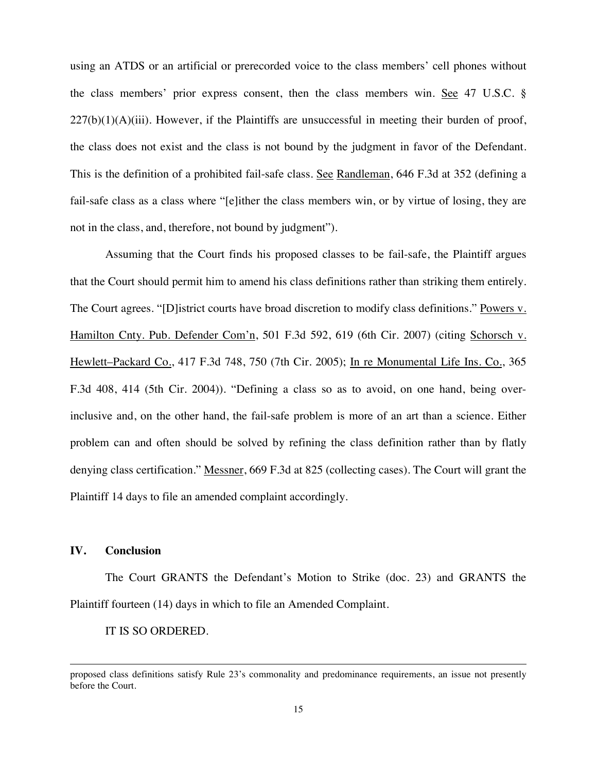using an ATDS or an artificial or prerecorded voice to the class members' cell phones without the class members' prior express consent, then the class members win. See 47 U.S.C. §  $227(b)(1)(A)(iii)$ . However, if the Plaintiffs are unsuccessful in meeting their burden of proof, the class does not exist and the class is not bound by the judgment in favor of the Defendant. This is the definition of a prohibited fail-safe class. See Randleman, 646 F.3d at 352 (defining a fail-safe class as a class where "[e]ither the class members win, or by virtue of losing, they are not in the class, and, therefore, not bound by judgment").

Assuming that the Court finds his proposed classes to be fail-safe, the Plaintiff argues that the Court should permit him to amend his class definitions rather than striking them entirely. The Court agrees. "[D]istrict courts have broad discretion to modify class definitions." Powers v. Hamilton Cnty. Pub. Defender Com'n, 501 F.3d 592, 619 (6th Cir. 2007) (citing Schorsch v. Hewlett–Packard Co., 417 F.3d 748, 750 (7th Cir. 2005); In re Monumental Life Ins. Co., 365 F.3d 408, 414 (5th Cir. 2004)). "Defining a class so as to avoid, on one hand, being overinclusive and, on the other hand, the fail-safe problem is more of an art than a science. Either problem can and often should be solved by refining the class definition rather than by flatly denying class certification." Messner, 669 F.3d at 825 (collecting cases). The Court will grant the Plaintiff 14 days to file an amended complaint accordingly.

## **IV. Conclusion**

 $\overline{a}$ 

The Court GRANTS the Defendant's Motion to Strike (doc. 23) and GRANTS the Plaintiff fourteen (14) days in which to file an Amended Complaint.

#### IT IS SO ORDERED.

proposed class definitions satisfy Rule 23's commonality and predominance requirements, an issue not presently before the Court.